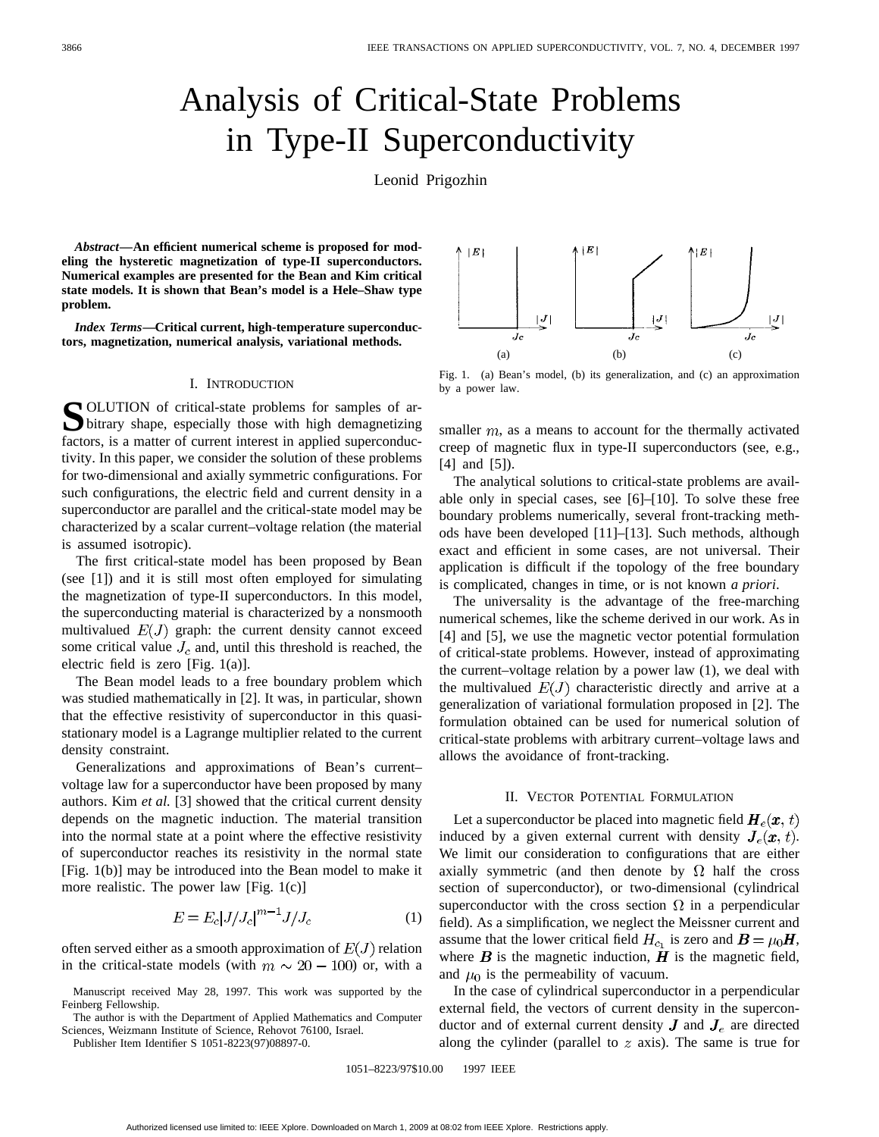# Analysis of Critical-State Problems in Type-II Superconductivity

Leonid Prigozhin

*Abstract—***An efficient numerical scheme is proposed for modeling the hysteretic magnetization of type-II superconductors. Numerical examples are presented for the Bean and Kim critical state models. It is shown that Bean's model is a Hele–Shaw type problem.**

*Index Terms—***Critical current, high-temperature superconductors, magnetization, numerical analysis, variational methods.**

#### I. INTRODUCTION

**S**OLUTION of critical-state problems for samples of arbitrary shape, especially those with high demagnetizing factors, is a matter of current interest in applied superconductivity. In this paper, we consider the solution of these problems for two-dimensional and axially symmetric configurations. For such configurations, the electric field and current density in a superconductor are parallel and the critical-state model may be characterized by a scalar current–voltage relation (the material is assumed isotropic).

The first critical-state model has been proposed by Bean (see [1]) and it is still most often employed for simulating the magnetization of type-II superconductors. In this model, the superconducting material is characterized by a nonsmooth multivalued  $E(J)$  graph: the current density cannot exceed some critical value  $J_c$  and, until this threshold is reached, the electric field is zero [Fig. 1(a)].

The Bean model leads to a free boundary problem which was studied mathematically in [2]. It was, in particular, shown that the effective resistivity of superconductor in this quasistationary model is a Lagrange multiplier related to the current density constraint.

Generalizations and approximations of Bean's current– voltage law for a superconductor have been proposed by many authors. Kim *et al.* [3] showed that the critical current density depends on the magnetic induction. The material transition into the normal state at a point where the effective resistivity of superconductor reaches its resistivity in the normal state [Fig. 1(b)] may be introduced into the Bean model to make it more realistic. The power law [Fig. 1(c)]

$$
E = E_c |J/J_c|^{m-1} J/J_c \tag{1}
$$

often served either as a smooth approximation of  $E(J)$  relation in the critical-state models (with  $m \sim 20 - 100$ ) or, with a

The author is with the Department of Applied Mathematics and Computer Sciences, Weizmann Institute of Science, Rehovot 76100, Israel.

Publisher Item Identifier S 1051-8223(97)08897-0.



Fig. 1. (a) Bean's model, (b) its generalization, and (c) an approximation by a power law.

smaller  $m$ , as a means to account for the thermally activated creep of magnetic flux in type-II superconductors (see, e.g., [4] and [5]).

The analytical solutions to critical-state problems are available only in special cases, see [6]–[10]. To solve these free boundary problems numerically, several front-tracking methods have been developed [11]–[13]. Such methods, although exact and efficient in some cases, are not universal. Their application is difficult if the topology of the free boundary is complicated, changes in time, or is not known *a priori*.

The universality is the advantage of the free-marching numerical schemes, like the scheme derived in our work. As in [4] and [5], we use the magnetic vector potential formulation of critical-state problems. However, instead of approximating the current–voltage relation by a power law (1), we deal with the multivalued  $E(J)$  characteristic directly and arrive at a generalization of variational formulation proposed in [2]. The formulation obtained can be used for numerical solution of critical-state problems with arbitrary current–voltage laws and allows the avoidance of front-tracking.

## II. VECTOR POTENTIAL FORMULATION

Let a superconductor be placed into magnetic field  $H_e(x, t)$ induced by a given external current with density  $J_e(x, t)$ . We limit our consideration to configurations that are either axially symmetric (and then denote by  $\Omega$  half the cross section of superconductor), or two-dimensional (cylindrical superconductor with the cross section  $\Omega$  in a perpendicular field). As a simplification, we neglect the Meissner current and assume that the lower critical field  $H_{c_1}$  is zero and  $B = \mu_0 H$ , where  $\boldsymbol{B}$  is the magnetic induction,  $\boldsymbol{H}$  is the magnetic field, and  $\mu_0$  is the permeability of vacuum.

In the case of cylindrical superconductor in a perpendicular external field, the vectors of current density in the superconductor and of external current density  $J$  and  $J_e$  are directed along the cylinder (parallel to  $z$  axis). The same is true for

1051–8223/97\$10.00 1997 IEEE

Manuscript received May 28, 1997. This work was supported by the Feinberg Fellowship.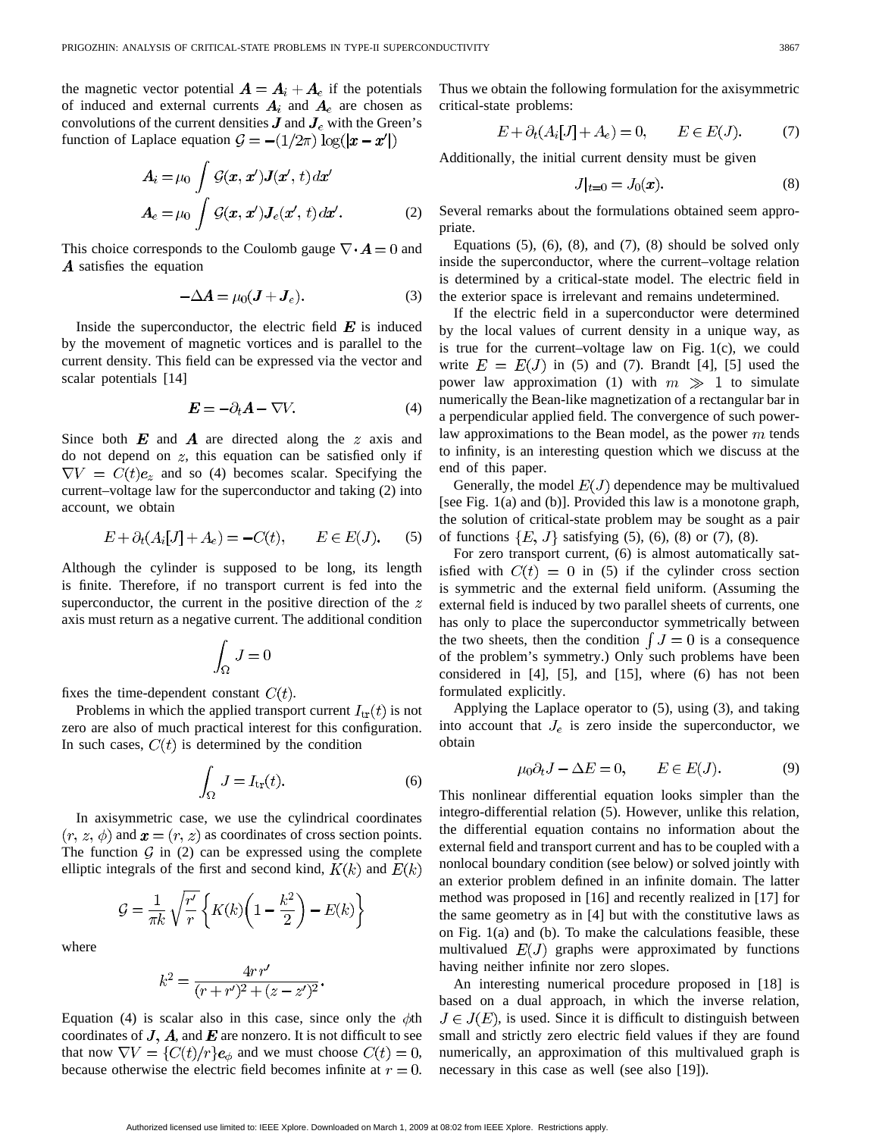the magnetic vector potential  $\mathbf{A} = \mathbf{A}_i + \mathbf{A}_e$  if the potentials of induced and external currents  $A_i$  and  $A_e$  are chosen as convolutions of the current densities  $\bm{J}$  and  $\bm{J}_e$  with the Green's function of Laplace equation  $\mathcal{G} = -(1/2\pi) \log(|x - x'|)$ 

$$
A_i = \mu_0 \int \mathcal{G}(\mathbf{x}, \mathbf{x}') \mathbf{J}(\mathbf{x}', t) d\mathbf{x}'
$$

$$
A_e = \mu_0 \int \mathcal{G}(\mathbf{x}, \mathbf{x}') \mathbf{J}_e(\mathbf{x}', t) d\mathbf{x}'. \tag{2}
$$

This choice corresponds to the Coulomb gauge  $\nabla \cdot \mathbf{A} = 0$  and A satisfies the equation

$$
-\Delta A = \mu_0 (J + J_e). \tag{3}
$$

Inside the superconductor, the electric field  $E$  is induced by the movement of magnetic vortices and is parallel to the current density. This field can be expressed via the vector and scalar potentials [14]

$$
E = -\partial_t A - \nabla V. \tag{4}
$$

Since both  $E$  and  $A$  are directed along the  $z$  axis and do not depend on  $z$ , this equation can be satisfied only if  $\nabla V = C(t)\mathbf{e}_z$  and so (4) becomes scalar. Specifying the current–voltage law for the superconductor and taking (2) into account, we obtain

$$
E + \partial_t (A_i[J] + A_e) = -C(t), \qquad E \in E(J). \tag{5}
$$

Although the cylinder is supposed to be long, its length is finite. Therefore, if no transport current is fed into the superconductor, the current in the positive direction of the  $z$ axis must return as a negative current. The additional condition

$$
\int_\Omega\,J=0
$$

fixes the time-dependent constant  $C(t)$ .

Problems in which the applied transport current  $I_{tr}(t)$  is not zero are also of much practical interest for this configuration. In such cases,  $C(t)$  is determined by the condition

$$
\int_{\Omega} J = I_{\text{tr}}(t). \tag{6}
$$

In axisymmetric case, we use the cylindrical coordinates  $(r, z, \phi)$  and  $\mathbf{x} = (r, z)$  as coordinates of cross section points. The function  $G$  in (2) can be expressed using the complete elliptic integrals of the first and second kind,  $K(k)$  and  $E(k)$ 

$$
\mathcal{G} = \frac{1}{\pi k} \sqrt{\frac{r'}{r}} \left\{ K(k) \left( 1 - \frac{k^2}{2} \right) - E(k) \right\}
$$

where

$$
k^{2} = \frac{4rr'}{(r+r')^{2} + (z-z')^{2}}.
$$

Equation (4) is scalar also in this case, since only the  $\phi$ th coordinates of  $J$ ,  $A$ , and  $E$  are nonzero. It is not difficult to see that now  $\nabla V = \{C(t)/r\}$ **e**<sub> $\phi$ </sub> and we must choose  $C(t) = 0$ , because otherwise the electric field becomes infinite at  $r = 0$ . Thus we obtain the following formulation for the axisymmetric critical-state problems:

$$
E + \partial_t (A_i[J] + A_e) = 0, \qquad E \in E(J). \tag{7}
$$

Additionally, the initial current density must be given

$$
J|_{t=0} = J_0(\mathbf{x}).\tag{8}
$$

Several remarks about the formulations obtained seem appropriate.

Equations  $(5)$ ,  $(6)$ ,  $(8)$ , and  $(7)$ ,  $(8)$  should be solved only inside the superconductor, where the current–voltage relation is determined by a critical-state model. The electric field in the exterior space is irrelevant and remains undetermined.

If the electric field in a superconductor were determined by the local values of current density in a unique way, as is true for the current–voltage law on Fig. 1(c), we could write  $E = E(J)$  in (5) and (7). Brandt [4], [5] used the power law approximation (1) with  $m \gg 1$  to simulate numerically the Bean-like magnetization of a rectangular bar in a perpendicular applied field. The convergence of such powerlaw approximations to the Bean model, as the power  $m$  tends to infinity, is an interesting question which we discuss at the end of this paper.

Generally, the model  $E(J)$  dependence may be multivalued [see Fig. 1(a) and (b)]. Provided this law is a monotone graph, the solution of critical-state problem may be sought as a pair of functions  $\{E, J\}$  satisfying (5), (6), (8) or (7), (8).

For zero transport current, (6) is almost automatically satisfied with  $C(t) = 0$  in (5) if the cylinder cross section is symmetric and the external field uniform. (Assuming the external field is induced by two parallel sheets of currents, one has only to place the superconductor symmetrically between the two sheets, then the condition  $\int J = 0$  is a consequence of the problem's symmetry.) Only such problems have been considered in [4], [5], and [15], where (6) has not been formulated explicitly.

Applying the Laplace operator to (5), using (3), and taking into account that  $J_e$  is zero inside the superconductor, we obtain

$$
u_0 \partial_t J - \Delta E = 0, \qquad E \in E(J). \tag{9}
$$

This nonlinear differential equation looks simpler than the integro-differential relation (5). However, unlike this relation, the differential equation contains no information about the external field and transport current and has to be coupled with a nonlocal boundary condition (see below) or solved jointly with an exterior problem defined in an infinite domain. The latter method was proposed in [16] and recently realized in [17] for the same geometry as in [4] but with the constitutive laws as on Fig. 1(a) and (b). To make the calculations feasible, these multivalued  $E(J)$  graphs were approximated by functions having neither infinite nor zero slopes.

An interesting numerical procedure proposed in [18] is based on a dual approach, in which the inverse relation,  $J \in J(E)$ , is used. Since it is difficult to distinguish between small and strictly zero electric field values if they are found numerically, an approximation of this multivalued graph is necessary in this case as well (see also [19]).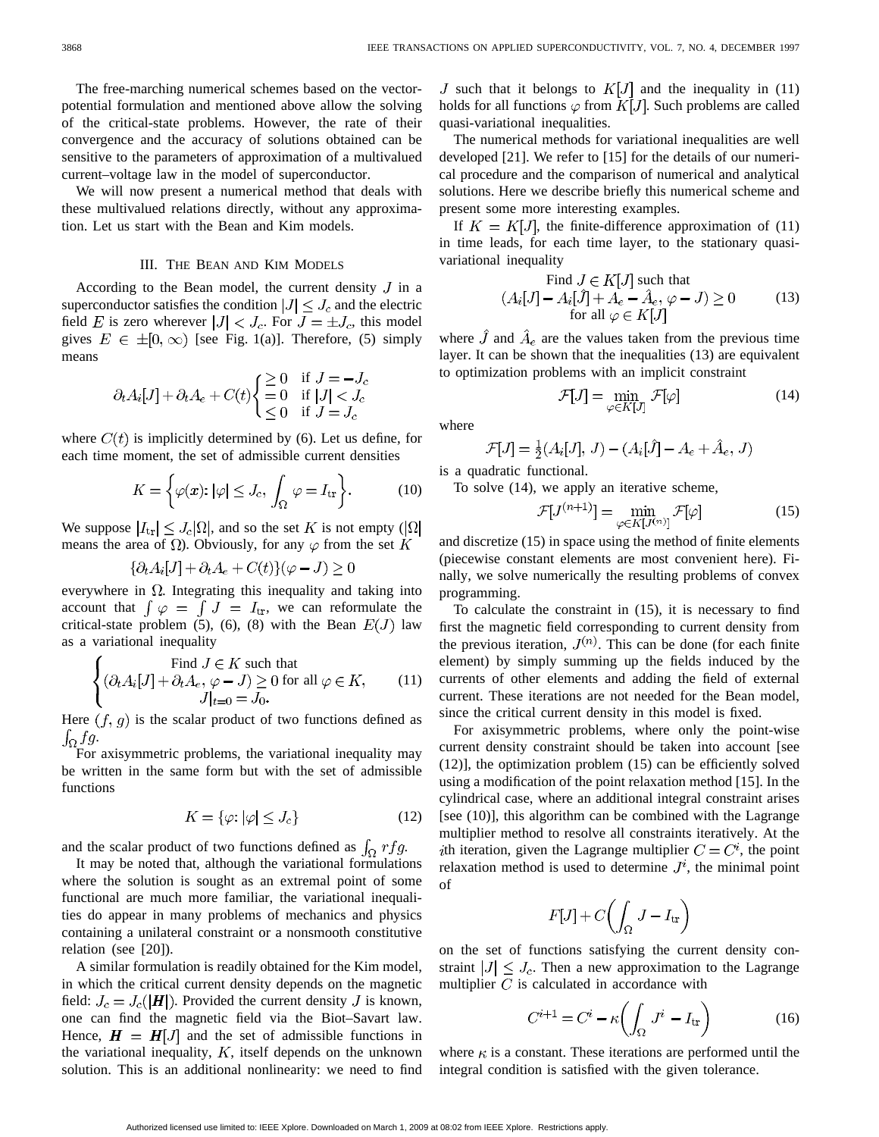The free-marching numerical schemes based on the vectorpotential formulation and mentioned above allow the solving of the critical-state problems. However, the rate of their convergence and the accuracy of solutions obtained can be sensitive to the parameters of approximation of a multivalued current–voltage law in the model of superconductor.

We will now present a numerical method that deals with these multivalued relations directly, without any approximation. Let us start with the Bean and Kim models.

#### III. THE BEAN AND KIM MODELS

According to the Bean model, the current density  $J$  in a superconductor satisfies the condition  $|J| \leq J_c$  and the electric field E is zero wherever  $|J| < J_c$ . For  $J = \pm J_c$ , this model gives  $E \in \pm [0, \infty)$  [see Fig. 1(a)]. Therefore, (5) simply means

$$
\partial_t A_i[J] + \partial_t A_e + C(t) \begin{cases} \geq 0 & \text{if } J = -J_c \\ = 0 & \text{if } |J| < J_c \\ \leq 0 & \text{if } J = J_c \end{cases}
$$

where  $C(t)$  is implicitly determined by (6). Let us define, for each time moment, the set of admissible current densities

$$
K = \left\{ \varphi(\mathbf{x}) : |\varphi| \le J_c, \int_{\Omega} \varphi = I_{\text{tr}} \right\}.
$$
 (10)

We suppose  $|I_{tr}| \leq J_c |\Omega|$ , and so the set K is not empty  $(|\Omega|)$ means the area of  $\Omega$ ). Obviously, for any  $\varphi$  from the set K

$$
\{\partial_t A_i[J] + \partial_t A_e + C(t)\}(\varphi - J) \ge 0
$$

everywhere in  $\Omega$ . Integrating this inequality and taking into account that  $\int \varphi = \int J = I_{tr}$ , we can reformulate the critical-state problem (5), (6), (8) with the Bean  $E(J)$  law as a variational inequality

$$
\begin{cases}\n\text{Find } J \in K \text{ such that} \\
(\partial_t A_i[J] + \partial_t A_e, \varphi - J) \ge 0 \text{ for all } \varphi \in K, \\
J|_{t=0} = J_0.\n\end{cases} \tag{11}
$$

Here  $(f, g)$  is the scalar product of two functions defined as  $\int_{\Omega} fg.$ 

For axisymmetric problems, the variational inequality may be written in the same form but with the set of admissible functions

$$
K = \{ \varphi \colon |\varphi| \le J_c \} \tag{12}
$$

and the scalar product of two functions defined as  $\int_{\Omega} rfg$ .

It may be noted that, although the variational formulations where the solution is sought as an extremal point of some functional are much more familiar, the variational inequalities do appear in many problems of mechanics and physics containing a unilateral constraint or a nonsmooth constitutive relation (see [20]).

A similar formulation is readily obtained for the Kim model, in which the critical current density depends on the magnetic field:  $J_c = J_c(|H|)$ . Provided the current density J is known, one can find the magnetic field via the Biot–Savart law. Hence,  $H = H[J]$  and the set of admissible functions in the variational inequality,  $K$ , itself depends on the unknown solution. This is an additional nonlinearity: we need to find J such that it belongs to  $K[J]$  and the inequality in (11) holds for all functions  $\varphi$  from  $K[J]$ . Such problems are called quasi-variational inequalities.

The numerical methods for variational inequalities are well developed [21]. We refer to [15] for the details of our numerical procedure and the comparison of numerical and analytical solutions. Here we describe briefly this numerical scheme and present some more interesting examples.

If  $K = K[J]$ , the finite-difference approximation of (11) in time leads, for each time layer, to the stationary quasivariational inequality

Find 
$$
J \in K[J]
$$
 such that  
\n
$$
(A_i[J] - A_i[\hat{J}] + A_e - \hat{A}_e, \varphi - J) \ge 0
$$
\nfor all  $\varphi \in K[J]$ \n(13)

where  $\hat{J}$  and  $\hat{A}_e$  are the values taken from the previous time layer. It can be shown that the inequalities (13) are equivalent to optimization problems with an implicit constraint

$$
\mathcal{F}[J] = \min_{\varphi \in K[J]} \mathcal{F}[\varphi] \tag{14}
$$

where

$$
\mathcal{F}[J] = \frac{1}{2}(A_i[J], J) - (A_i[\hat{J}] - A_e + \hat{A}_e, J)
$$

is a quadratic functional.

To solve (14), we apply an iterative scheme,

$$
\mathcal{F}[J^{(n+1)}] = \min_{\varphi \in K[J^{(n)}]} \mathcal{F}[\varphi]
$$
 (15)

and discretize (15) in space using the method of finite elements (piecewise constant elements are most convenient here). Finally, we solve numerically the resulting problems of convex programming.

To calculate the constraint in (15), it is necessary to find first the magnetic field corresponding to current density from the previous iteration,  $J^{(n)}$ . This can be done (for each finite element) by simply summing up the fields induced by the currents of other elements and adding the field of external current. These iterations are not needed for the Bean model, since the critical current density in this model is fixed.

For axisymmetric problems, where only the point-wise current density constraint should be taken into account [see (12)], the optimization problem (15) can be efficiently solved using a modification of the point relaxation method [15]. In the cylindrical case, where an additional integral constraint arises [see (10)], this algorithm can be combined with the Lagrange multiplier method to resolve all constraints iteratively. At the ith iteration, given the Lagrange multiplier  $C = C<sup>i</sup>$ , the point relaxation method is used to determine  $J^i$ , the minimal point of

$$
F[J] + C\left(\int_{\Omega} J - I_{\text{tr}}\right)
$$

on the set of functions satisfying the current density constraint  $|J| \leq J_c$ . Then a new approximation to the Lagrange multiplier  $C$  is calculated in accordance with

$$
C^{i+1} = C^i - \kappa \left( \int_{\Omega} J^i - I_{\text{tr}} \right) \tag{16}
$$

where  $\kappa$  is a constant. These iterations are performed until the integral condition is satisfied with the given tolerance.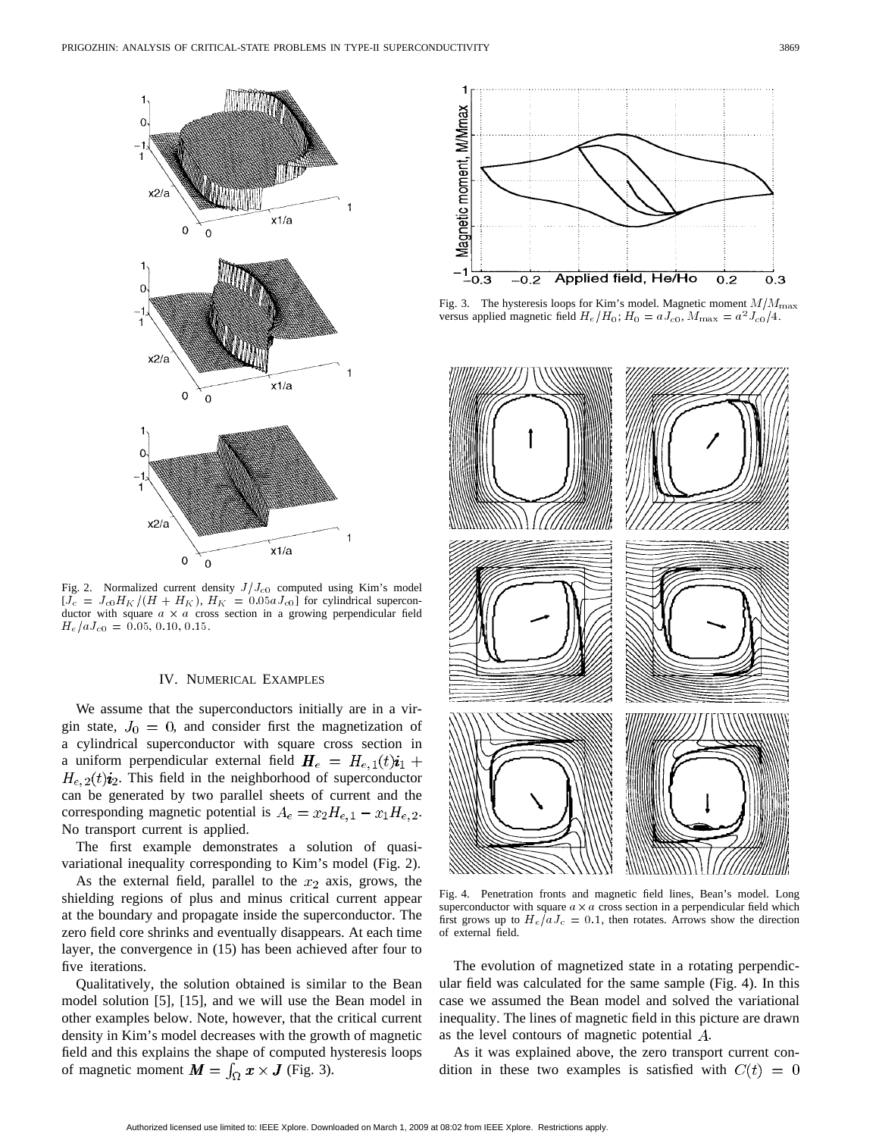

Fig. 2. Normalized current density  $J/J_{c0}$  computed using Kim's model  $[J_c = J_{c0}H_K/(H + H_K), H_K = 0.05aJ_{c0}]$  for cylindrical superconductor with square  $a \times a$  cross section in a growing perpendicular field  $H_e/aJ_{c0} = 0.05, 0.10, 0.15.$ 

### IV. NUMERICAL EXAMPLES

We assume that the superconductors initially are in a virgin state,  $J_0 = 0$ , and consider first the magnetization of a cylindrical superconductor with square cross section in a uniform perpendicular external field  $H_e = H_{e,1}(t)\mathbf{i}_1 + \mathbf{j}_2$  $H_{e,2}(t)i_2$ . This field in the neighborhood of superconductor can be generated by two parallel sheets of current and the corresponding magnetic potential is  $A_e = x_2 H_{e,1} - x_1 H_{e,2}$ . No transport current is applied.

The first example demonstrates a solution of quasivariational inequality corresponding to Kim's model (Fig. 2).

As the external field, parallel to the  $x_2$  axis, grows, the shielding regions of plus and minus critical current appear at the boundary and propagate inside the superconductor. The zero field core shrinks and eventually disappears. At each time layer, the convergence in (15) has been achieved after four to five iterations.

Qualitatively, the solution obtained is similar to the Bean model solution [5], [15], and we will use the Bean model in other examples below. Note, however, that the critical current density in Kim's model decreases with the growth of magnetic field and this explains the shape of computed hysteresis loops of magnetic moment  $M = \int_{\Omega} x \times J$  (Fig. 3).



Fig. 3. The hysteresis loops for Kim's model. Magnetic moment  $M/M_{\text{max}}$ versus applied magnetic field  $H_e/H_0$ ;  $H_0 = aJ_{c0}$ ,  $M_{\text{max}} = a^2J_{c0}/4$ .



Fig. 4. Penetration fronts and magnetic field lines, Bean's model. Long superconductor with square  $a \times a$  cross section in a perpendicular field which first grows up to  $H_e/aJ_c = 0.1$ , then rotates. Arrows show the direction of external field.

The evolution of magnetized state in a rotating perpendicular field was calculated for the same sample (Fig. 4). In this case we assumed the Bean model and solved the variational inequality. The lines of magnetic field in this picture are drawn as the level contours of magnetic potential  $A$ .

As it was explained above, the zero transport current condition in these two examples is satisfied with  $C(t) = 0$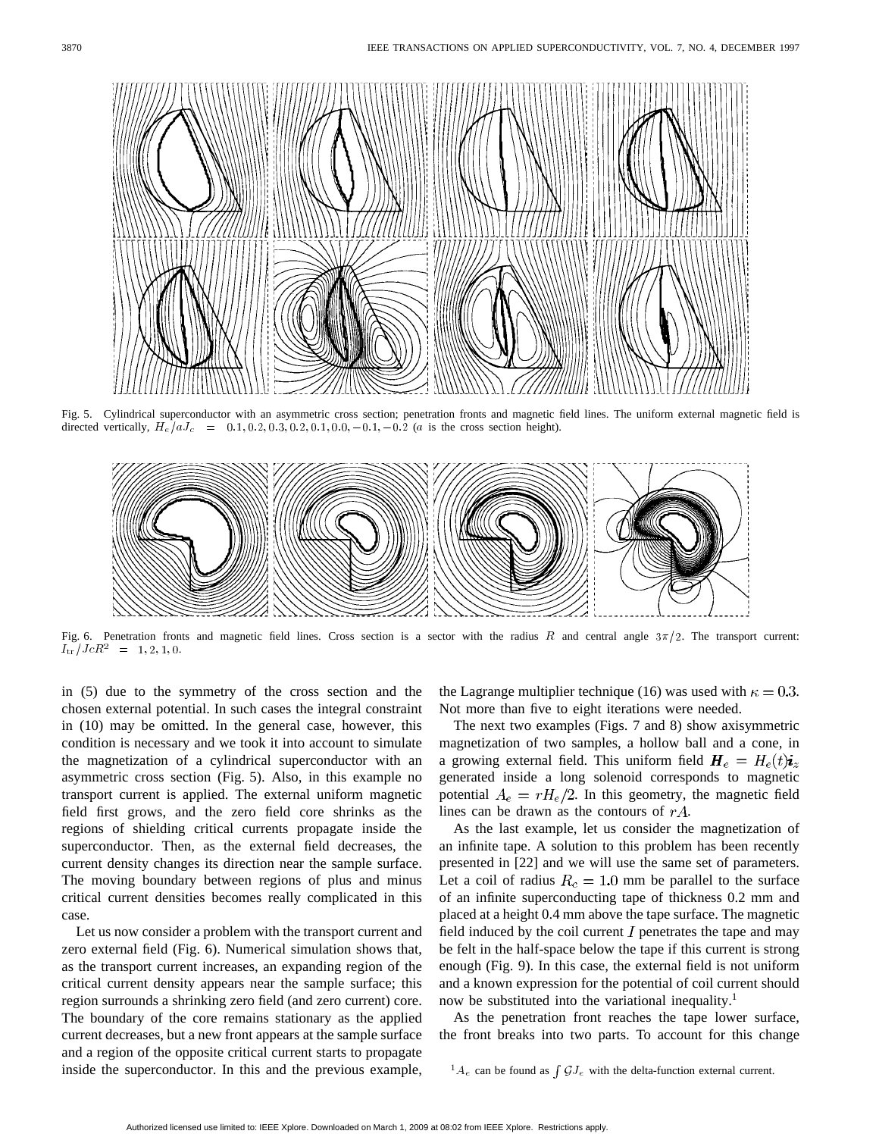

Fig. 5. Cylindrical superconductor with an asymmetric cross section; penetration fronts and magnetic field lines. The uniform external magnetic field is directed vertically,  $H_e/aJ_c = 0.1, 0.2, 0.3, 0.2, 0.1, 0.0, -0.1, -0.2$  (*a* is the cross section height).



Fig. 6. Penetration fronts and magnetic field lines. Cross section is a sector with the radius R and central angle  $3\pi/2$ . The transport current:  $I_{\rm tr}/JcR^2 = 1, 2, 1, 0.$ 

in (5) due to the symmetry of the cross section and the chosen external potential. In such cases the integral constraint in (10) may be omitted. In the general case, however, this condition is necessary and we took it into account to simulate the magnetization of a cylindrical superconductor with an asymmetric cross section (Fig. 5). Also, in this example no transport current is applied. The external uniform magnetic field first grows, and the zero field core shrinks as the regions of shielding critical currents propagate inside the superconductor. Then, as the external field decreases, the current density changes its direction near the sample surface. The moving boundary between regions of plus and minus critical current densities becomes really complicated in this case.

Let us now consider a problem with the transport current and zero external field (Fig. 6). Numerical simulation shows that, as the transport current increases, an expanding region of the critical current density appears near the sample surface; this region surrounds a shrinking zero field (and zero current) core. The boundary of the core remains stationary as the applied current decreases, but a new front appears at the sample surface and a region of the opposite critical current starts to propagate inside the superconductor. In this and the previous example,

the Lagrange multiplier technique (16) was used with  $\kappa = 0.3$ . Not more than five to eight iterations were needed.

The next two examples (Figs. 7 and 8) show axisymmetric magnetization of two samples, a hollow ball and a cone, in a growing external field. This uniform field  $H_e = H_e(t)i_z$ generated inside a long solenoid corresponds to magnetic potential  $A_e = rH_e/2$ . In this geometry, the magnetic field lines can be drawn as the contours of  $rA$ .

As the last example, let us consider the magnetization of an infinite tape. A solution to this problem has been recently presented in [22] and we will use the same set of parameters. Let a coil of radius  $R_c = 1.0$  mm be parallel to the surface of an infinite superconducting tape of thickness 0.2 mm and placed at a height 0.4 mm above the tape surface. The magnetic field induced by the coil current  $I$  penetrates the tape and may be felt in the half-space below the tape if this current is strong enough (Fig. 9). In this case, the external field is not uniform and a known expression for the potential of coil current should now be substituted into the variational inequality.<sup>1</sup>

As the penetration front reaches the tape lower surface, the front breaks into two parts. To account for this change

 ${}^{1}A_{e}$  can be found as  $\int \mathcal{G}J_{e}$  with the delta-function external current.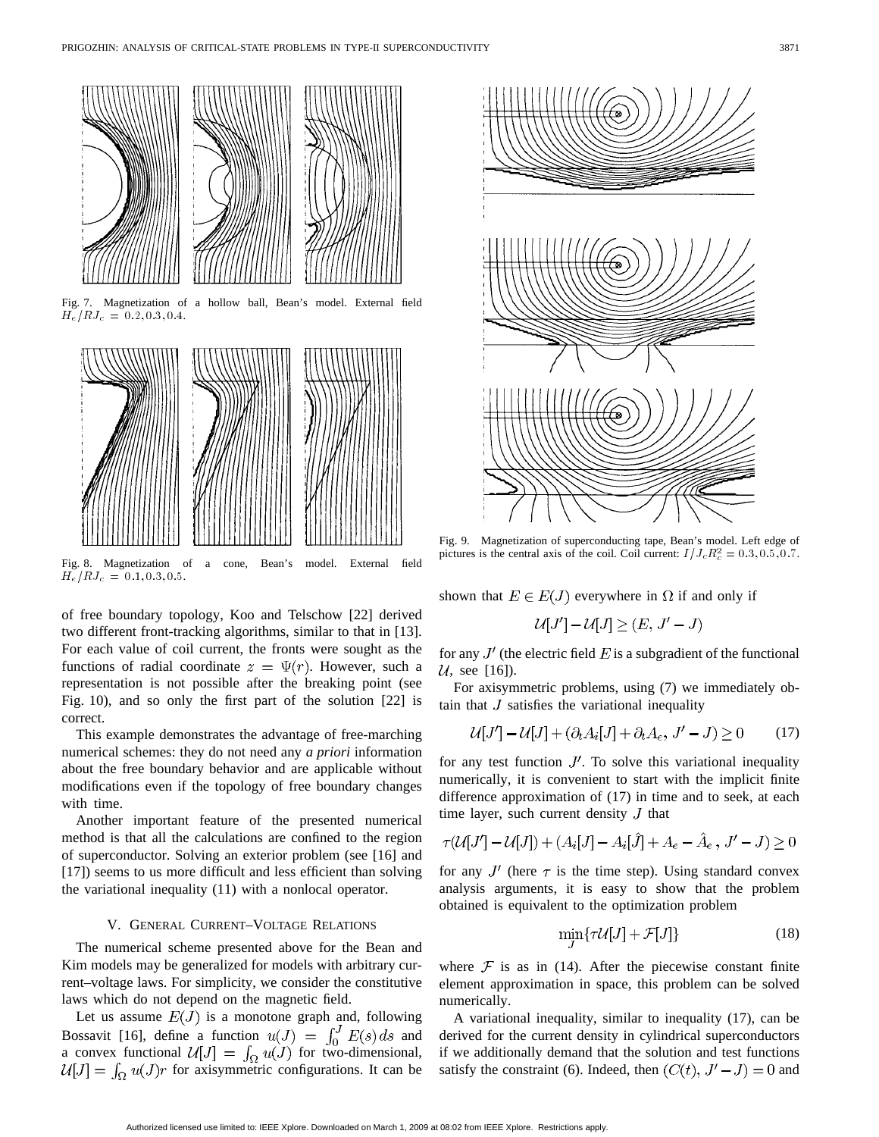

Fig. 7. Magnetization of a hollow ball, Bean's model. External field  $\tilde{H_e}/RJ_c = 0.2, 0.3, 0.4.$ 



Fig. 8. Magnetization of a cone, Bean's model. External field  $H_e/RJ_c = 0.1, 0.3, 0.5.$ 

of free boundary topology, Koo and Telschow [22] derived two different front-tracking algorithms, similar to that in [13]. For each value of coil current, the fronts were sought as the functions of radial coordinate  $z = \Psi(r)$ . However, such a representation is not possible after the breaking point (see Fig. 10), and so only the first part of the solution [22] is correct.

This example demonstrates the advantage of free-marching numerical schemes: they do not need any *a priori* information about the free boundary behavior and are applicable without modifications even if the topology of free boundary changes with time.

Another important feature of the presented numerical method is that all the calculations are confined to the region of superconductor. Solving an exterior problem (see [16] and [17]) seems to us more difficult and less efficient than solving the variational inequality (11) with a nonlocal operator.

# V. GENERAL CURRENT–VOLTAGE RELATIONS

The numerical scheme presented above for the Bean and Kim models may be generalized for models with arbitrary current–voltage laws. For simplicity, we consider the constitutive laws which do not depend on the magnetic field.

Let us assume  $E(J)$  is a monotone graph and, following Bossavit [16], define a function  $u(J) = \int_0^J E(s) ds$  and a convex functional  $\mathcal{U}[J] = \int_{\Omega} u(J)$  for two-dimensional, for axisymmetric configurations. It can be



Fig. 9. Magnetization of superconducting tape, Bean's model. Left edge of pictures is the central axis of the coil. Coil current:  $I/J_c R_c^2 = 0.3, 0.5, 0.7$ .

shown that  $E \in E(J)$  everywhere in  $\Omega$  if and only if

$$
\mathcal{U}[J']-\mathcal{U}[J]\geq (E,\,J'-J)
$$

for any  $J'$  (the electric field E is a subgradient of the functional  $U$ , see [16]).

For axisymmetric problems, using (7) we immediately obtain that  $J$  satisfies the variational inequality

$$
\mathcal{U}[J'] - \mathcal{U}[J] + (\partial_t A_i[J] + \partial_t A_e, J' - J) \ge 0 \tag{17}
$$

for any test function  $J'$ . To solve this variational inequality numerically, it is convenient to start with the implicit finite difference approximation of (17) in time and to seek, at each time layer, such current density  $J$  that

$$
\tau(U[J'] - U[J]) + (A_i[J] - A_i[\hat{J}] + A_e - \hat{A}_e, J' - J) \ge 0
$$

for any  $J'$  (here  $\tau$  is the time step). Using standard convex analysis arguments, it is easy to show that the problem obtained is equivalent to the optimization problem

$$
\min_{I} \{\tau \mathcal{U}[J] + \mathcal{F}[J] \} \tag{18}
$$

where  $\mathcal F$  is as in (14). After the piecewise constant finite element approximation in space, this problem can be solved numerically.

A variational inequality, similar to inequality (17), can be derived for the current density in cylindrical superconductors if we additionally demand that the solution and test functions satisfy the constraint (6). Indeed, then  $(C(t), J' - J) = 0$  and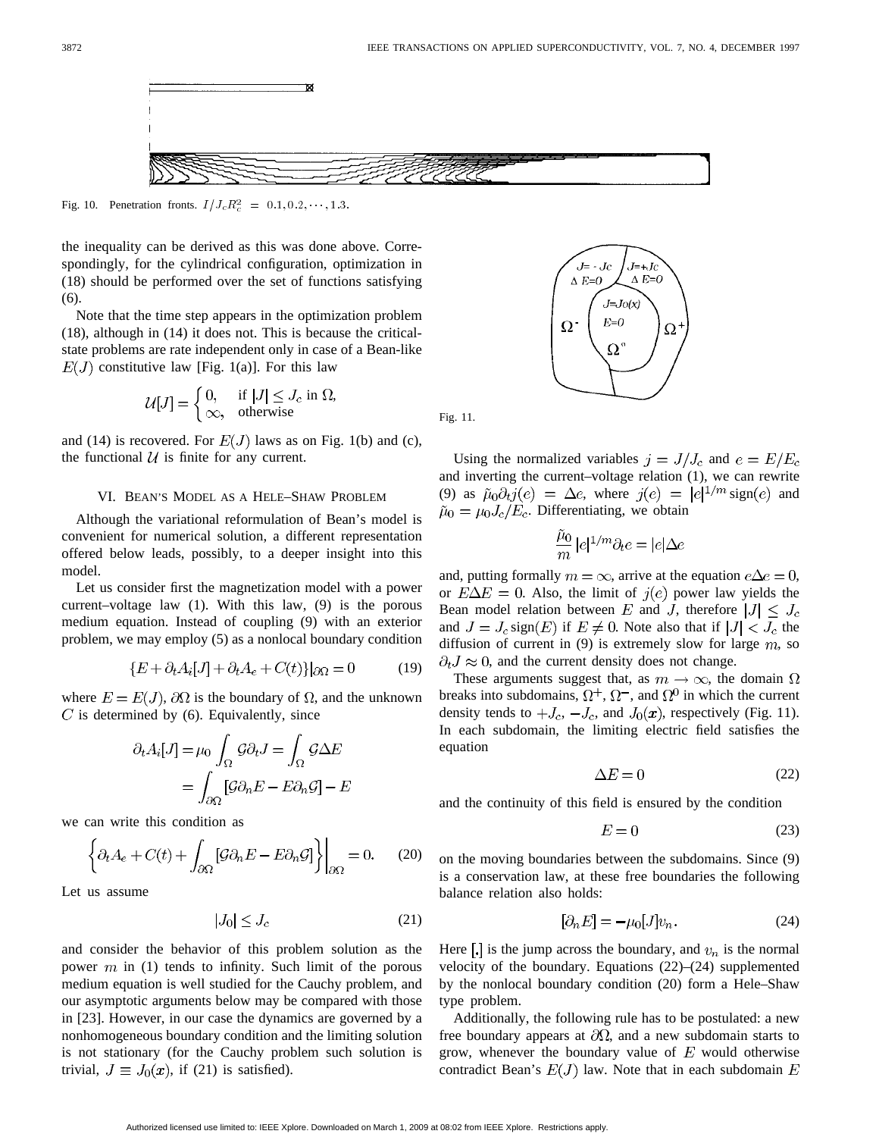

the inequality can be derived as this was done above. Correspondingly, for the cylindrical configuration, optimization in (18) should be performed over the set of functions satisfying (6).

Note that the time step appears in the optimization problem (18), although in (14) it does not. This is because the criticalstate problems are rate independent only in case of a Bean-like  $E(J)$  constitutive law [Fig. 1(a)]. For this law

$$
U[J] = \begin{cases} 0, & \text{if } |J| \le J_c \text{ in } \Omega, \\ \infty, & \text{otherwise} \end{cases}
$$

and (14) is recovered. For  $E(J)$  laws as on Fig. 1(b) and (c), the functional  $U$  is finite for any current.

### VI. BEAN'S MODEL AS A HELE–SHAW PROBLEM

Although the variational reformulation of Bean's model is convenient for numerical solution, a different representation offered below leads, possibly, to a deeper insight into this model.

Let us consider first the magnetization model with a power current–voltage law (1). With this law, (9) is the porous medium equation. Instead of coupling (9) with an exterior problem, we may employ (5) as a nonlocal boundary condition

$$
\{E + \partial_t A_i[J] + \partial_t A_e + C(t)\}\big|\partial\Omega = 0\tag{19}
$$

where  $E = E(J)$ ,  $\partial\Omega$  is the boundary of  $\Omega$ , and the unknown  $C$  is determined by (6). Equivalently, since

$$
\partial_t A_i[J] = \mu_0 \int_{\Omega} \mathcal{G} \partial_t J = \int_{\Omega} \mathcal{G} \Delta E
$$

$$
= \int_{\partial \Omega} [\mathcal{G} \partial_n E - E \partial_n \mathcal{G}] - E
$$

we can write this condition as

$$
\left\{\partial_t A_e + C(t) + \int_{\partial\Omega} \left[\mathcal{G}\partial_n E - E\partial_n \mathcal{G}\right]\right\}\Big|_{\partial\Omega} = 0. \quad (20)
$$

Let us assume

$$
|J_0| \le J_c \tag{21}
$$

and consider the behavior of this problem solution as the power  $m$  in (1) tends to infinity. Such limit of the porous medium equation is well studied for the Cauchy problem, and our asymptotic arguments below may be compared with those in [23]. However, in our case the dynamics are governed by a nonhomogeneous boundary condition and the limiting solution is not stationary (for the Cauchy problem such solution is trivial,  $J \equiv J_0(\mathbf{x})$ , if (21) is satisfied).



Fig. 11.

Using the normalized variables  $j = J/J_c$  and  $e = E/E_c$ and inverting the current–voltage relation (1), we can rewrite (9) as  $\tilde{\mu}_0 \partial_t j(e) = \Delta e$ , where  $j(e) = |e|^{1/m}$  sign(e) and  $\tilde{\mu}_0 = \mu_0 J_c / E_c$ . Differentiating, we obtain

$$
\frac{\tilde{\mu}_0}{m}\,|e|^{1/m}\partial_t e=|e|\Delta e
$$

and, putting formally  $m = \infty$ , arrive at the equation  $e\Delta e = 0$ , or  $E\Delta E = 0$ . Also, the limit of  $j(e)$  power law yields the Bean model relation between E and J, therefore  $|J| \leq J_c$ and  $J = J_c$  sign(E) if  $E \neq 0$ . Note also that if  $|J| < J_c$  the diffusion of current in (9) is extremely slow for large  $m$ , so  $\partial_t J \approx 0$ , and the current density does not change.

These arguments suggest that, as  $m \to \infty$ , the domain  $\Omega$ breaks into subdomains,  $\Omega^+$ ,  $\Omega^-$ , and  $\Omega^0$  in which the current density tends to  $+J_c$ ,  $-J_c$ , and  $J_0(\mathbf{x})$ , respectively (Fig. 11). In each subdomain, the limiting electric field satisfies the equation

$$
\Delta E = 0 \tag{22}
$$

and the continuity of this field is ensured by the condition

$$
E = 0 \tag{23}
$$

on the moving boundaries between the subdomains. Since (9) is a conservation law, at these free boundaries the following balance relation also holds:

$$
[\partial_n E] = -\mu_0 [J] v_n. \tag{24}
$$

Here  $\left[\cdot\right]$  is the jump across the boundary, and  $v_n$  is the normal velocity of the boundary. Equations (22)–(24) supplemented by the nonlocal boundary condition (20) form a Hele–Shaw type problem.

Additionally, the following rule has to be postulated: a new free boundary appears at  $\partial\Omega$ , and a new subdomain starts to grow, whenever the boundary value of  $E$  would otherwise contradict Bean's  $E(J)$  law. Note that in each subdomain E